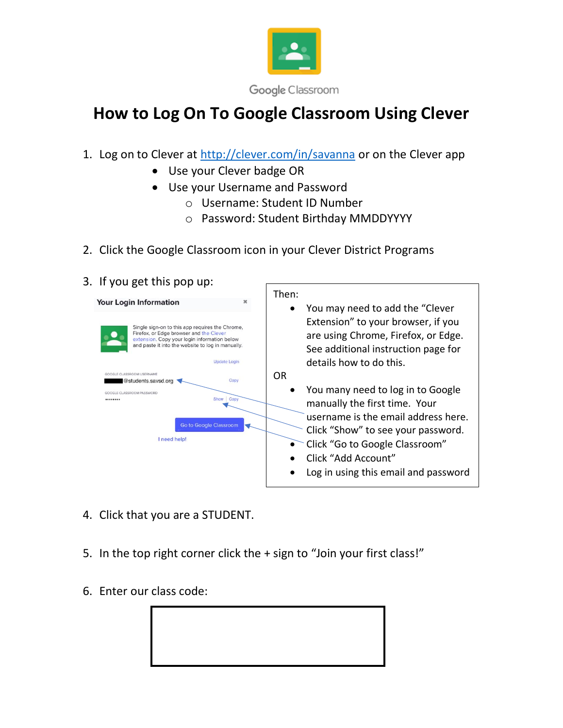

## **How to Log On To Google Classroom Using Clever**

- 1. Log on to Clever at<http://clever.com/in/savanna> or on the Clever app
	- Use your Clever badge OR
	- Use your Username and Password
		- o Username: Student ID Number
		- o Password: Student Birthday MMDDYYYY
- 2. Click the Google Classroom icon in your Clever District Programs
- 3. If you get this pop up:



- 4. Click that you are a STUDENT.
- 5. In the top right corner click the + sign to "Join your first class!"
- 6. Enter our class code: